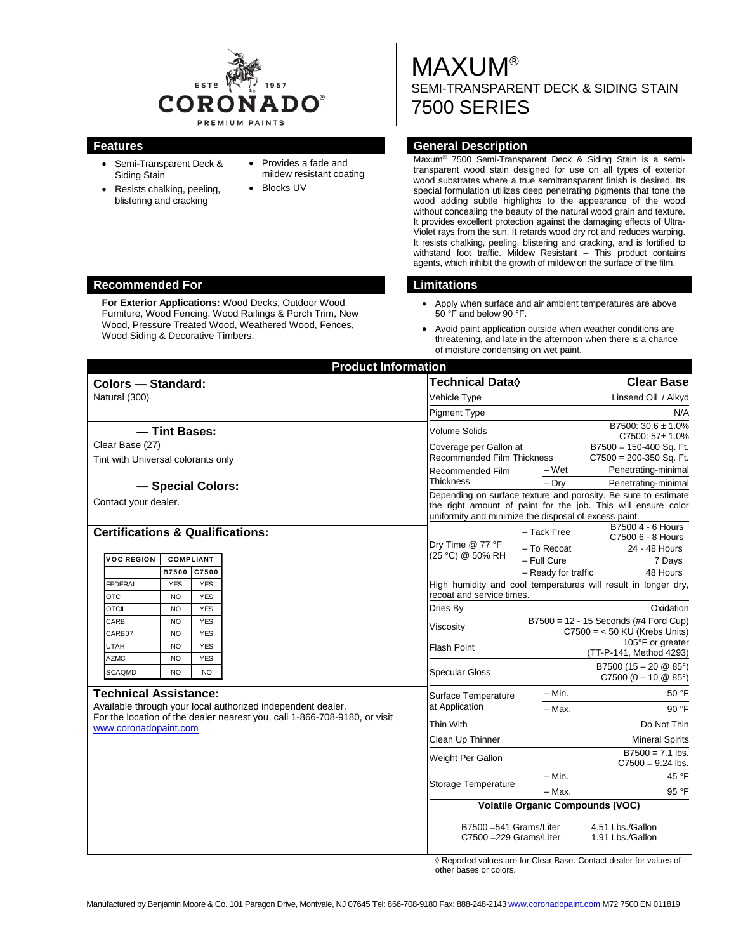

- Semi-Transparent Deck & Siding Stain
- Resists chalking, peeling, blistering and cracking
- Provides a fade and mildew resistant coating
- Blocks UV

MAXUM® SEMI-TRANSPARENT DECK & SIDING STAIN 7500 SERIES

### **Features General Description**

Maxum® 7500 Semi-Transparent Deck & Siding Stain is a semitransparent wood stain designed for use on all types of exterior wood substrates where a true semitransparent finish is desired. Its special formulation utilizes deep penetrating pigments that tone the wood adding subtle highlights to the appearance of the wood without concealing the beauty of the natural wood grain and texture. It provides excellent protection against the damaging effects of Ultra-Violet rays from the sun. It retards wood dry rot and reduces warping. It resists chalking, peeling, blistering and cracking, and is fortified to withstand foot traffic. Mildew Resistant – This product contains agents, which inhibit the growth of mildew on the surface of the film.

- Apply when surface and air ambient temperatures are above 50 °F and below 90 °F.
- Avoid paint application outside when weather conditions are threatening, and late in the afternoon when there is a chance of moisture condensing on wet paint.

|                                             |                   |            | <b>Product Information</b>                                                |                                                                                                                                                                                          |                                           |                                                                |  |
|---------------------------------------------|-------------------|------------|---------------------------------------------------------------------------|------------------------------------------------------------------------------------------------------------------------------------------------------------------------------------------|-------------------------------------------|----------------------------------------------------------------|--|
| <b>Colors - Standard:</b>                   |                   |            |                                                                           | Technical Data <b>◊</b>                                                                                                                                                                  |                                           | <b>Clear Base</b>                                              |  |
| Natural (300)                               |                   |            |                                                                           | Vehicle Type                                                                                                                                                                             |                                           | Linseed Oil / Alkyd                                            |  |
|                                             |                   |            |                                                                           | <b>Pigment Type</b>                                                                                                                                                                      |                                           | N/A                                                            |  |
| - Tint Bases:                               |                   |            |                                                                           | Volume Solids                                                                                                                                                                            |                                           | B7500: 30.6 ± 1.0%<br>$C7500:57 \pm 1.0\%$                     |  |
| Clear Base (27)                             |                   |            |                                                                           | Coverage per Gallon at                                                                                                                                                                   |                                           | $B7500 = 150-400$ Sq. Ft.                                      |  |
| Tint with Universal colorants only          |                   |            |                                                                           | Recommended Film Thickness                                                                                                                                                               |                                           | $C7500 = 200-350$ Sq. Ft.                                      |  |
|                                             |                   |            |                                                                           | Recommended Film                                                                                                                                                                         | – Wet                                     | Penetrating-minimal                                            |  |
|                                             | - Special Colors: |            |                                                                           | <b>Thickness</b>                                                                                                                                                                         | $-$ Dry                                   | Penetrating-minimal                                            |  |
| Contact your dealer.                        |                   |            |                                                                           | Depending on surface texture and porosity. Be sure to estimate<br>the right amount of paint for the job. This will ensure color<br>uniformity and minimize the disposal of excess paint. |                                           |                                                                |  |
| <b>Certifications &amp; Qualifications:</b> |                   |            |                                                                           | Dry Time @ 77 °F                                                                                                                                                                         | - Tack Free                               | B7500 4 - 6 Hours<br>C7500 6 - 8 Hours                         |  |
| <b>VOC REGION</b>                           | <b>COMPLIANT</b>  |            |                                                                           | (25 °C) @ 50% RH                                                                                                                                                                         | - To Recoat                               | 24 - 48 Hours                                                  |  |
|                                             | <b>B7500</b>      | C7500      |                                                                           |                                                                                                                                                                                          | - Full Cure<br>- Ready for traffic        | 7 Days<br>48 Hours                                             |  |
| <b>FEDERAL</b>                              | <b>YES</b>        | <b>YES</b> |                                                                           |                                                                                                                                                                                          |                                           | High humidity and cool temperatures will result in longer dry, |  |
| OTC                                         | <b>NO</b>         | <b>YES</b> |                                                                           | recoat and service times.                                                                                                                                                                |                                           |                                                                |  |
| <b>OTCII</b>                                | <b>NO</b>         | <b>YES</b> |                                                                           | Dries By                                                                                                                                                                                 |                                           | Oxidation                                                      |  |
| CARB                                        | <b>NO</b>         | <b>YES</b> |                                                                           | Viscosity                                                                                                                                                                                | $B7500 = 12 - 15$ Seconds (#4 Ford Cup)   |                                                                |  |
| CARB07                                      | <b>NO</b>         | <b>YES</b> |                                                                           |                                                                                                                                                                                          | $C7500 = < 50$ KU (Krebs Units)           |                                                                |  |
| UTAH                                        | <b>NO</b>         | <b>YES</b> |                                                                           | <b>Flash Point</b>                                                                                                                                                                       |                                           | 105°F or greater<br>(TT-P-141, Method 4293)                    |  |
| <b>AZMC</b>                                 | <b>NO</b>         | <b>YES</b> |                                                                           |                                                                                                                                                                                          |                                           | B7500 (15 - 20 $@$ 85°)                                        |  |
| <b>SCAQMD</b>                               | <b>NO</b>         | <b>NO</b>  |                                                                           | <b>Specular Gloss</b>                                                                                                                                                                    |                                           | $C7500 (0 - 10 @ 85^{\circ})$                                  |  |
| <b>Technical Assistance:</b>                |                   |            |                                                                           | Surface Temperature<br>at Application                                                                                                                                                    | – Min.                                    | 50 °F                                                          |  |
|                                             |                   |            | Available through your local authorized independent dealer.               |                                                                                                                                                                                          | - Max.                                    | 90 °F                                                          |  |
| www.coronadopaint.com                       |                   |            | For the location of the dealer nearest you, call 1-866-708-9180, or visit | Thin With                                                                                                                                                                                |                                           | Do Not Thin                                                    |  |
|                                             |                   |            |                                                                           | Clean Up Thinner                                                                                                                                                                         |                                           | <b>Mineral Spirits</b>                                         |  |
|                                             |                   |            |                                                                           | Weight Per Gallon                                                                                                                                                                        | $B7500 = 7.1$ lbs.<br>$C7500 = 9.24$ lbs. |                                                                |  |
|                                             |                   |            |                                                                           |                                                                                                                                                                                          | $- Min.$                                  | 45 °F                                                          |  |
|                                             |                   |            |                                                                           | Storage Temperature                                                                                                                                                                      | - Max.                                    | 95 °F                                                          |  |
|                                             |                   |            |                                                                           | <b>Volatile Organic Compounds (VOC)</b>                                                                                                                                                  |                                           |                                                                |  |
|                                             |                   |            |                                                                           | B7500 = 541 Grams/Liter<br>4.51 Lbs./Gallon<br>C7500 = 229 Grams/Liter<br>1.91 Lbs./Gallon                                                                                               |                                           |                                                                |  |

◊ Reported values are for Clear Base. Contact dealer for values of other bases or colors.

#### **Recommended For Limitations**

**For Exterior Applications:** Wood Decks, Outdoor Wood Furniture, Wood Fencing, Wood Railings & Porch Trim, New Wood, Pressure Treated Wood, Weathered Wood, Fences, Wood Siding & Decorative Timbers.